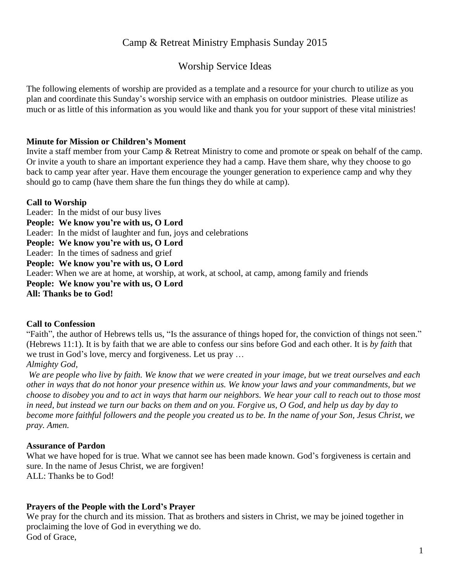# Camp & Retreat Ministry Emphasis Sunday 2015

# Worship Service Ideas

The following elements of worship are provided as a template and a resource for your church to utilize as you plan and coordinate this Sunday's worship service with an emphasis on outdoor ministries. Please utilize as much or as little of this information as you would like and thank you for your support of these vital ministries!

### **Minute for Mission or Children's Moment**

Invite a staff member from your Camp & Retreat Ministry to come and promote or speak on behalf of the camp. Or invite a youth to share an important experience they had a camp. Have them share, why they choose to go back to camp year after year. Have them encourage the younger generation to experience camp and why they should go to camp (have them share the fun things they do while at camp).

# **Call to Worship**

Leader: In the midst of our busy lives **People: We know you're with us, O Lord** Leader: In the midst of laughter and fun, joys and celebrations **People: We know you're with us, O Lord** Leader: In the times of sadness and grief **People: We know you're with us, O Lord** Leader: When we are at home, at worship, at work, at school, at camp, among family and friends **People: We know you're with us, O Lord All: Thanks be to God!**

#### **Call to Confession**

"Faith", the author of Hebrews tells us, "Is the assurance of things hoped for, the conviction of things not seen." (Hebrews 11:1). It is by faith that we are able to confess our sins before God and each other. It is *by faith* that we trust in God's love, mercy and forgiveness. Let us pray …

#### *Almighty God,*

We are people who live by faith. We know that we were created in your image, but we treat ourselves and each other in ways that do not honor your presence within us. We know your laws and your commandments, but we choose to disobey you and to act in ways that harm our neighbors. We hear your call to reach out to those most in need, but instead we turn our backs on them and on you. Forgive us,  $O$  God, and help us day by day to become more faithful followers and the people you created us to be. In the name of your Son, Jesus Christ, we *pray. Amen.*

#### **Assurance of Pardon**

What we have hoped for is true. What we cannot see has been made known. God's forgiveness is certain and sure. In the name of Jesus Christ, we are forgiven! ALL: Thanks be to God!

# **Prayers of the People with the Lord's Prayer**

We pray for the church and its mission. That as brothers and sisters in Christ, we may be joined together in proclaiming the love of God in everything we do. God of Grace,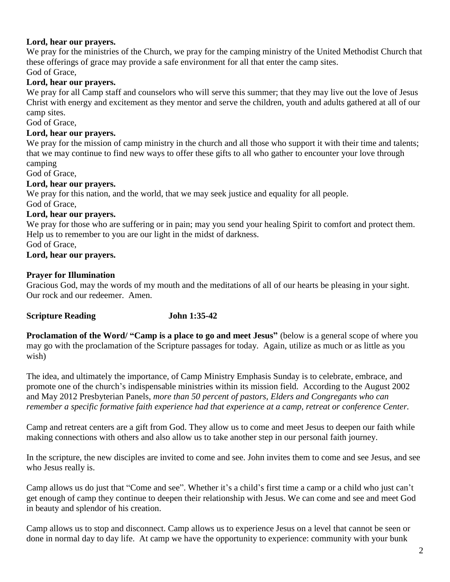# **Lord, hear our prayers.**

We pray for the ministries of the Church, we pray for the camping ministry of the United Methodist Church that these offerings of grace may provide a safe environment for all that enter the camp sites. God of Grace,

# **Lord, hear our prayers.**

We pray for all Camp staff and counselors who will serve this summer; that they may live out the love of Jesus Christ with energy and excitement as they mentor and serve the children, youth and adults gathered at all of our camp sites.

God of Grace,

### **Lord, hear our prayers.**

We pray for the mission of camp ministry in the church and all those who support it with their time and talents; that we may continue to find new ways to offer these gifts to all who gather to encounter your love through camping

God of Grace,

#### **Lord, hear our prayers.**

We pray for this nation, and the world, that we may seek justice and equality for all people. God of Grace,

# **Lord, hear our prayers.**

We pray for those who are suffering or in pain; may you send your healing Spirit to comfort and protect them. Help us to remember to you are our light in the midst of darkness.

#### God of Grace,

# **Lord, hear our prayers.**

# **Prayer for Illumination**

Gracious God, may the words of my mouth and the meditations of all of our hearts be pleasing in your sight. Our rock and our redeemer. Amen.

#### **Scripture Reading John 1:35-42**

**Proclamation of the Word/ "Camp is a place to go and meet Jesus"** (below is a general scope of where you may go with the proclamation of the Scripture passages for today. Again, utilize as much or as little as you wish)

The idea, and ultimately the importance, of Camp Ministry Emphasis Sunday is to celebrate, embrace, and promote one of the church's indispensable ministries within its mission field. According to the August 2002 and May 2012 Presbyterian Panels, *more than 50 percent of pastors, Elders and Congregants who can remember a specific formative faith experience had that experience at a camp, retreat or conference Center.*

Camp and retreat centers are a gift from God. They allow us to come and meet Jesus to deepen our faith while making connections with others and also allow us to take another step in our personal faith journey.

In the scripture, the new disciples are invited to come and see. John invites them to come and see Jesus, and see who Jesus really is.

Camp allows us do just that "Come and see". Whether it's a child's first time a camp or a child who just can't get enough of camp they continue to deepen their relationship with Jesus. We can come and see and meet God in beauty and splendor of his creation.

Camp allows us to stop and disconnect. Camp allows us to experience Jesus on a level that cannot be seen or done in normal day to day life. At camp we have the opportunity to experience: community with your bunk